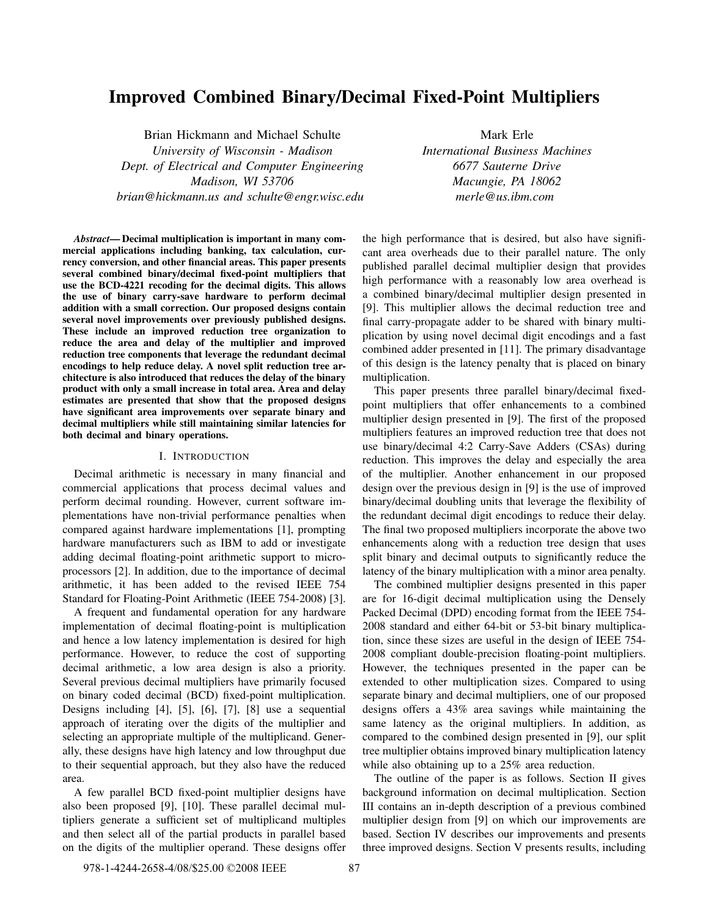# Improved Combined Binary/Decimal Fixed-Point Multipliers

Brian Hickmann and Michael Schulte *University of Wisconsin - Madison Dept. of Electrical and Computer Engineering Madison, WI 53706 brian@hickmann.us and schulte@engr.wisc.edu*

Mark Erle *International Business Machines 6677 Sauterne Drive Macungie, PA 18062 merle@us.ibm.com*

*Abstract*— Decimal multiplication is important in many commercial applications including banking, tax calculation, currency conversion, and other financial areas. This paper presents several combined binary/decimal fixed-point multipliers that use the BCD-4221 recoding for the decimal digits. This allows the use of binary carry-save hardware to perform decimal addition with a small correction. Our proposed designs contain several novel improvements over previously published designs. These include an improved reduction tree organization to reduce the area and delay of the multiplier and improved reduction tree components that leverage the redundant decimal encodings to help reduce delay. A novel split reduction tree architecture is also introduced that reduces the delay of the binary product with only a small increase in total area. Area and delay estimates are presented that show that the proposed designs have significant area improvements over separate binary and decimal multipliers while still maintaining similar latencies for both decimal and binary operations.

#### I. INTRODUCTION

Decimal arithmetic is necessary in many financial and commercial applications that process decimal values and perform decimal rounding. However, current software implementations have non-trivial performance penalties when compared against hardware implementations [1], prompting hardware manufacturers such as IBM to add or investigate adding decimal floating-point arithmetic support to microprocessors [2]. In addition, due to the importance of decimal arithmetic, it has been added to the revised IEEE 754 Standard for Floating-Point Arithmetic (IEEE 754-2008) [3].

A frequent and fundamental operation for any hardware implementation of decimal floating-point is multiplication and hence a low latency implementation is desired for high performance. However, to reduce the cost of supporting decimal arithmetic, a low area design is also a priority. Several previous decimal multipliers have primarily focused on binary coded decimal (BCD) fixed-point multiplication. Designs including [4], [5], [6], [7], [8] use a sequential approach of iterating over the digits of the multiplier and selecting an appropriate multiple of the multiplicand. Generally, these designs have high latency and low throughput due to their sequential approach, but they also have the reduced area.

A few parallel BCD fixed-point multiplier designs have also been proposed [9], [10]. These parallel decimal multipliers generate a sufficient set of multiplicand multiples and then select all of the partial products in parallel based on the digits of the multiplier operand. These designs offer

the high performance that is desired, but also have significant area overheads due to their parallel nature. The only published parallel decimal multiplier design that provides high performance with a reasonably low area overhead is a combined binary/decimal multiplier design presented in [9]. This multiplier allows the decimal reduction tree and final carry-propagate adder to be shared with binary multiplication by using novel decimal digit encodings and a fast combined adder presented in [11]. The primary disadvantage of this design is the latency penalty that is placed on binary multiplication.

This paper presents three parallel binary/decimal fixedpoint multipliers that offer enhancements to a combined multiplier design presented in [9]. The first of the proposed multipliers features an improved reduction tree that does not use binary/decimal 4:2 Carry-Save Adders (CSAs) during reduction. This improves the delay and especially the area of the multiplier. Another enhancement in our proposed design over the previous design in [9] is the use of improved binary/decimal doubling units that leverage the flexibility of the redundant decimal digit encodings to reduce their delay. The final two proposed multipliers incorporate the above two enhancements along with a reduction tree design that uses split binary and decimal outputs to significantly reduce the latency of the binary multiplication with a minor area penalty.

The combined multiplier designs presented in this paper are for 16-digit decimal multiplication using the Densely Packed Decimal (DPD) encoding format from the IEEE 754- 2008 standard and either 64-bit or 53-bit binary multiplication, since these sizes are useful in the design of IEEE 754- 2008 compliant double-precision floating-point multipliers. However, the techniques presented in the paper can be extended to other multiplication sizes. Compared to using separate binary and decimal multipliers, one of our proposed designs offers a 43% area savings while maintaining the same latency as the original multipliers. In addition, as compared to the combined design presented in [9], our split tree multiplier obtains improved binary multiplication latency while also obtaining up to a 25% area reduction.

The outline of the paper is as follows. Section II gives background information on decimal multiplication. Section III contains an in-depth description of a previous combined multiplier design from [9] on which our improvements are based. Section IV describes our improvements and presents three improved designs. Section V presents results, including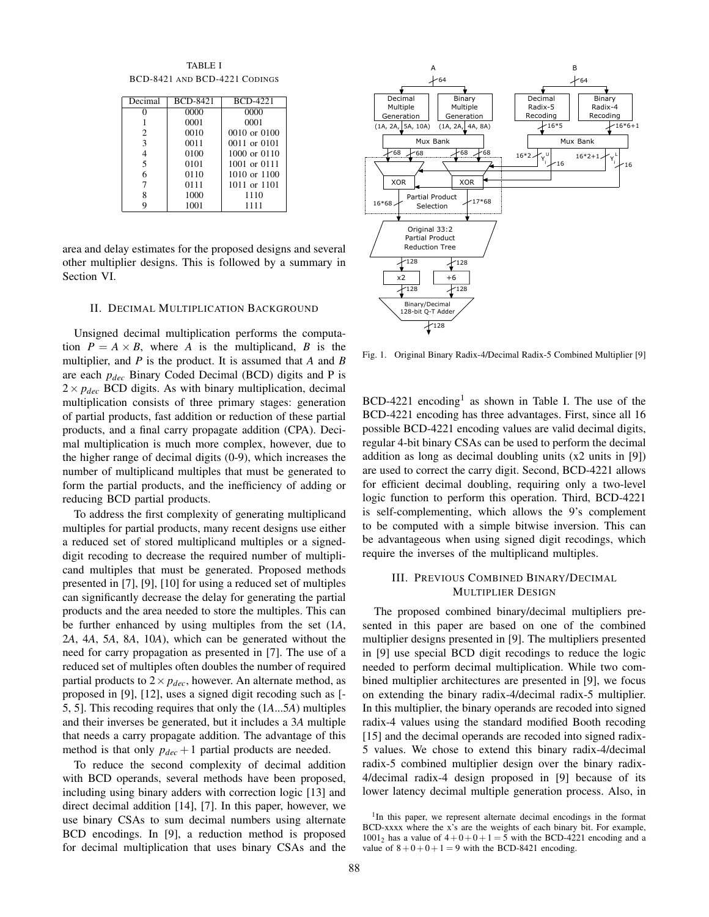TABLE I BCD-8421 AND BCD-4221 CODINGS

| Decimal | <b>BCD-8421</b> | <b>BCD-4221</b>  |
|---------|-----------------|------------------|
|         | 0000            | 0000             |
|         | 0001            | 0001             |
| 2       | 0010            | $0010$ or $0100$ |
| 3       | 0011            | 0011 or 0101     |
|         | 0100            | $1000$ or $0110$ |
| 5       | 0101            | 1001 or 0111     |
| 6       | 0110            | 1010 or 1100     |
|         | 0111            | 1011 or 1101     |
|         | 1000            | 1110             |
|         | 1001            | 1111             |

area and delay estimates for the proposed designs and several other multiplier designs. This is followed by a summary in Section VI.

#### II. DECIMAL MULTIPLICATION BACKGROUND

Unsigned decimal multiplication performs the computation  $P = A \times B$ , where *A* is the multiplicand, *B* is the multiplier, and *P* is the product. It is assumed that *A* and *B* are each *pdec* Binary Coded Decimal (BCD) digits and P is  $2 \times p_{dec}$  BCD digits. As with binary multiplication, decimal multiplication consists of three primary stages: generation of partial products, fast addition or reduction of these partial products, and a final carry propagate addition (CPA). Decimal multiplication is much more complex, however, due to the higher range of decimal digits (0-9), which increases the number of multiplicand multiples that must be generated to form the partial products, and the inefficiency of adding or reducing BCD partial products.

To address the first complexity of generating multiplicand multiples for partial products, many recent designs use either a reduced set of stored multiplicand multiples or a signeddigit recoding to decrease the required number of multiplicand multiples that must be generated. Proposed methods presented in [7], [9], [10] for using a reduced set of multiples can significantly decrease the delay for generating the partial products and the area needed to store the multiples. This can be further enhanced by using multiples from the set (1*A*, 2*A*, 4*A*, 5*A*, 8*A*, 10*A*), which can be generated without the need for carry propagation as presented in [7]. The use of a reduced set of multiples often doubles the number of required partial products to  $2 \times p_{dec}$ , however. An alternate method, as proposed in [9], [12], uses a signed digit recoding such as [- 5, 5]. This recoding requires that only the (1*A*...5*A*) multiples and their inverses be generated, but it includes a 3*A* multiple that needs a carry propagate addition. The advantage of this method is that only  $p_{dec} + 1$  partial products are needed.

To reduce the second complexity of decimal addition with BCD operands, several methods have been proposed, including using binary adders with correction logic [13] and direct decimal addition [14], [7]. In this paper, however, we use binary CSAs to sum decimal numbers using alternate BCD encodings. In [9], a reduction method is proposed for decimal multiplication that uses binary CSAs and the



Fig. 1. Original Binary Radix-4/Decimal Radix-5 Combined Multiplier [9]

 $BCD-4221$  encoding<sup>1</sup> as shown in Table I. The use of the BCD-4221 encoding has three advantages. First, since all 16 possible BCD-4221 encoding values are valid decimal digits, regular 4-bit binary CSAs can be used to perform the decimal addition as long as decimal doubling units (x2 units in [9]) are used to correct the carry digit. Second, BCD-4221 allows for efficient decimal doubling, requiring only a two-level logic function to perform this operation. Third, BCD-4221 is self-complementing, which allows the 9's complement to be computed with a simple bitwise inversion. This can be advantageous when using signed digit recodings, which require the inverses of the multiplicand multiples.

# III. PREVIOUS COMBINED BINARY/DECIMAL MULTIPLIER DESIGN

The proposed combined binary/decimal multipliers presented in this paper are based on one of the combined multiplier designs presented in [9]. The multipliers presented in [9] use special BCD digit recodings to reduce the logic needed to perform decimal multiplication. While two combined multiplier architectures are presented in [9], we focus on extending the binary radix-4/decimal radix-5 multiplier. In this multiplier, the binary operands are recoded into signed radix-4 values using the standard modified Booth recoding [15] and the decimal operands are recoded into signed radix-5 values. We chose to extend this binary radix-4/decimal radix-5 combined multiplier design over the binary radix-4/decimal radix-4 design proposed in [9] because of its lower latency decimal multiple generation process. Also, in

<sup>&</sup>lt;sup>1</sup>In this paper, we represent alternate decimal encodings in the format BCD-xxxx where the x's are the weights of each binary bit. For example,  $1001<sub>2</sub>$  has a value of  $4+0+0+1=5$  with the BCD-4221 encoding and a value of  $8+0+0+1=9$  with the BCD-8421 encoding.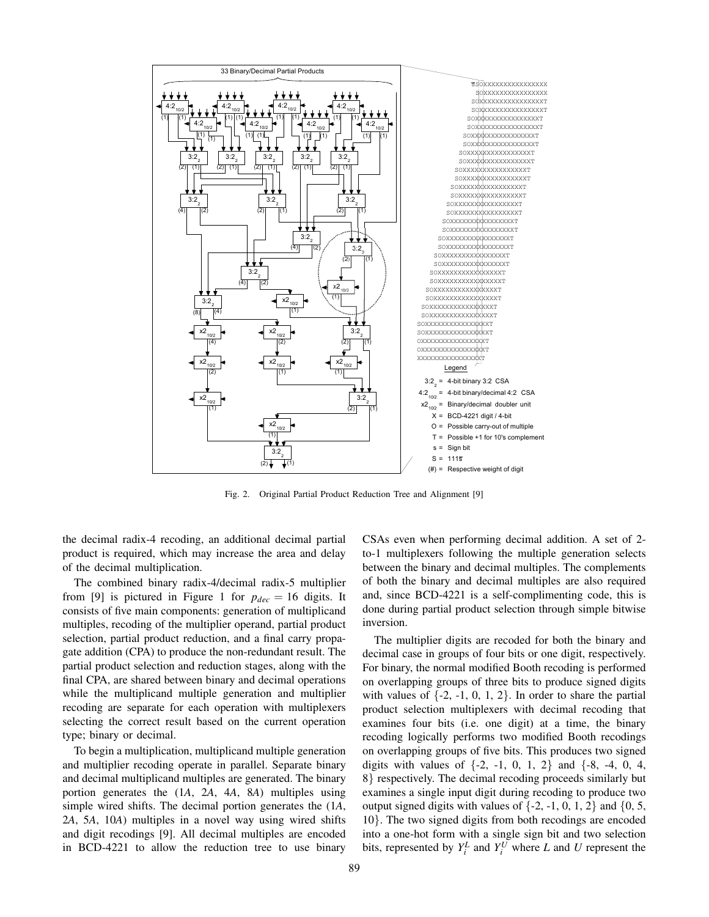

Fig. 2. Original Partial Product Reduction Tree and Alignment [9]

the decimal radix-4 recoding, an additional decimal partial product is required, which may increase the area and delay of the decimal multiplication.

The combined binary radix-4/decimal radix-5 multiplier from [9] is pictured in Figure 1 for  $p_{dec} = 16$  digits. It consists of five main components: generation of multiplicand multiples, recoding of the multiplier operand, partial product selection, partial product reduction, and a final carry propagate addition (CPA) to produce the non-redundant result. The partial product selection and reduction stages, along with the final CPA, are shared between binary and decimal operations while the multiplicand multiple generation and multiplier recoding are separate for each operation with multiplexers selecting the correct result based on the current operation type; binary or decimal.

To begin a multiplication, multiplicand multiple generation and multiplier recoding operate in parallel. Separate binary and decimal multiplicand multiples are generated. The binary portion generates the (1*A*, 2*A*, 4*A*, 8*A*) multiples using simple wired shifts. The decimal portion generates the (1*A*, 2*A*, 5*A*, 10*A*) multiples in a novel way using wired shifts and digit recodings [9]. All decimal multiples are encoded in BCD-4221 to allow the reduction tree to use binary CSAs even when performing decimal addition. A set of 2 to-1 multiplexers following the multiple generation selects between the binary and decimal multiples. The complements of both the binary and decimal multiples are also required and, since BCD-4221 is a self-complimenting code, this is done during partial product selection through simple bitwise inversion.

The multiplier digits are recoded for both the binary and decimal case in groups of four bits or one digit, respectively. For binary, the normal modified Booth recoding is performed on overlapping groups of three bits to produce signed digits with values of  $\{-2, -1, 0, 1, 2\}$ . In order to share the partial product selection multiplexers with decimal recoding that examines four bits (i.e. one digit) at a time, the binary recoding logically performs two modified Booth recodings on overlapping groups of five bits. This produces two signed digits with values of  $\{-2, -1, 0, 1, 2\}$  and  $\{-8, -4, 0, 4,$ 8} respectively. The decimal recoding proceeds similarly but examines a single input digit during recoding to produce two output signed digits with values of  $\{-2, -1, 0, 1, 2\}$  and  $\{0, 5,$ 10}. The two signed digits from both recodings are encoded into a one-hot form with a single sign bit and two selection bits, represented by  $Y_i^L$  and  $Y_i^U$  where  $L$  and  $U$  represent the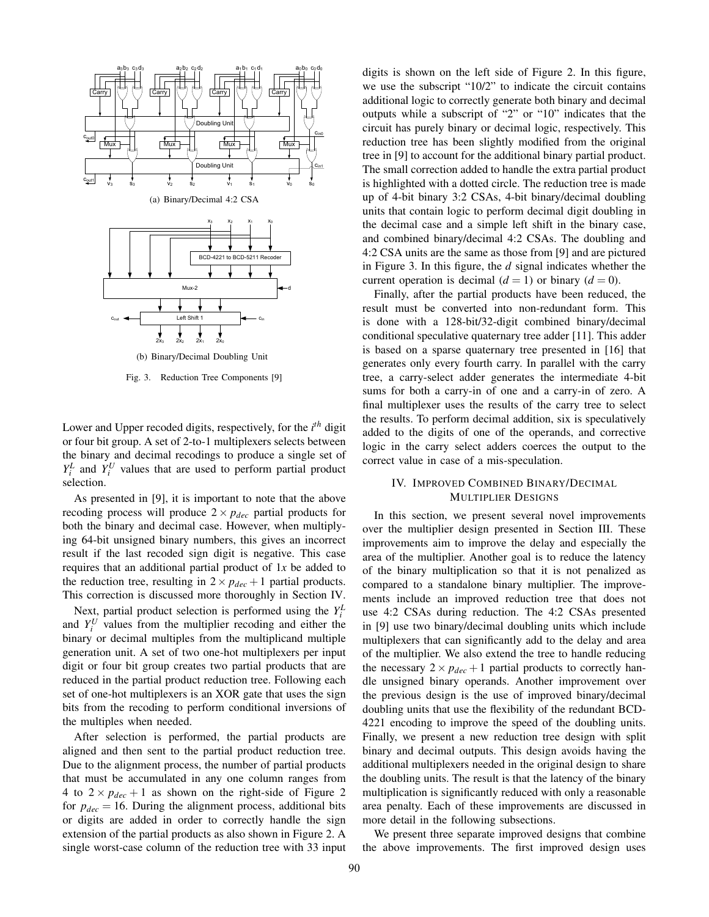

Fig. 3. Reduction Tree Components [9]

Lower and Upper recoded digits, respectively, for the *i th* digit or four bit group. A set of 2-to-1 multiplexers selects between the binary and decimal recodings to produce a single set of  $Y_i^L$  and  $Y_i^U$  values that are used to perform partial product selection.

As presented in [9], it is important to note that the above recoding process will produce  $2 \times p_{dec}$  partial products for both the binary and decimal case. However, when multiplying 64-bit unsigned binary numbers, this gives an incorrect result if the last recoded sign digit is negative. This case requires that an additional partial product of 1*x* be added to the reduction tree, resulting in  $2 \times p_{dec} + 1$  partial products. This correction is discussed more thoroughly in Section IV.

Next, partial product selection is performed using the  $Y_i^L$ and  $Y_i^U$  values from the multiplier recoding and either the binary or decimal multiples from the multiplicand multiple generation unit. A set of two one-hot multiplexers per input digit or four bit group creates two partial products that are reduced in the partial product reduction tree. Following each set of one-hot multiplexers is an XOR gate that uses the sign bits from the recoding to perform conditional inversions of the multiples when needed.

After selection is performed, the partial products are aligned and then sent to the partial product reduction tree. Due to the alignment process, the number of partial products that must be accumulated in any one column ranges from 4 to  $2 \times p_{dec} + 1$  as shown on the right-side of Figure 2 for  $p_{dec} = 16$ . During the alignment process, additional bits or digits are added in order to correctly handle the sign extension of the partial products as also shown in Figure 2. A single worst-case column of the reduction tree with 33 input digits is shown on the left side of Figure 2. In this figure, we use the subscript "10/2" to indicate the circuit contains additional logic to correctly generate both binary and decimal outputs while a subscript of "2" or "10" indicates that the circuit has purely binary or decimal logic, respectively. This reduction tree has been slightly modified from the original tree in [9] to account for the additional binary partial product. The small correction added to handle the extra partial product is highlighted with a dotted circle. The reduction tree is made up of 4-bit binary 3:2 CSAs, 4-bit binary/decimal doubling units that contain logic to perform decimal digit doubling in the decimal case and a simple left shift in the binary case, and combined binary/decimal 4:2 CSAs. The doubling and 4:2 CSA units are the same as those from [9] and are pictured in Figure 3. In this figure, the *d* signal indicates whether the current operation is decimal  $(d = 1)$  or binary  $(d = 0)$ .

Finally, after the partial products have been reduced, the result must be converted into non-redundant form. This is done with a 128-bit/32-digit combined binary/decimal conditional speculative quaternary tree adder [11]. This adder is based on a sparse quaternary tree presented in [16] that generates only every fourth carry. In parallel with the carry tree, a carry-select adder generates the intermediate 4-bit sums for both a carry-in of one and a carry-in of zero. A final multiplexer uses the results of the carry tree to select the results. To perform decimal addition, six is speculatively added to the digits of one of the operands, and corrective logic in the carry select adders coerces the output to the correct value in case of a mis-speculation.

## IV. IMPROVED COMBINED BINARY/DECIMAL MULTIPLIER DESIGNS

In this section, we present several novel improvements over the multiplier design presented in Section III. These improvements aim to improve the delay and especially the area of the multiplier. Another goal is to reduce the latency of the binary multiplication so that it is not penalized as compared to a standalone binary multiplier. The improvements include an improved reduction tree that does not use 4:2 CSAs during reduction. The 4:2 CSAs presented in [9] use two binary/decimal doubling units which include multiplexers that can significantly add to the delay and area of the multiplier. We also extend the tree to handle reducing the necessary  $2 \times p_{dec} + 1$  partial products to correctly handle unsigned binary operands. Another improvement over the previous design is the use of improved binary/decimal doubling units that use the flexibility of the redundant BCD-4221 encoding to improve the speed of the doubling units. Finally, we present a new reduction tree design with split binary and decimal outputs. This design avoids having the additional multiplexers needed in the original design to share the doubling units. The result is that the latency of the binary multiplication is significantly reduced with only a reasonable area penalty. Each of these improvements are discussed in more detail in the following subsections.

We present three separate improved designs that combine the above improvements. The first improved design uses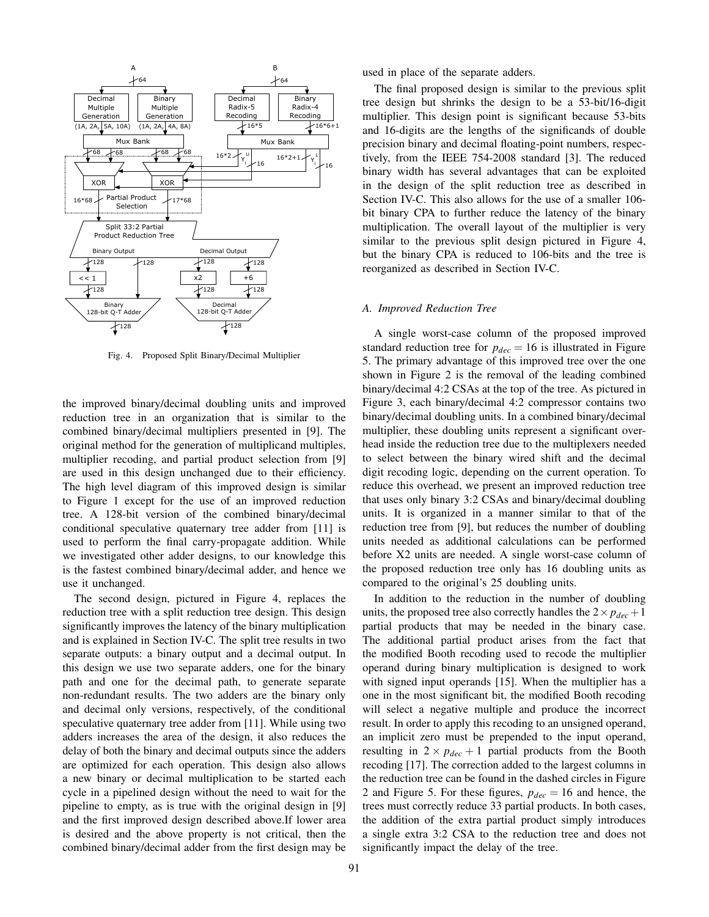

Fig. 4. Proposed Split Binary/Decimal Multiplier

the improved binary/decimal doubling units and improved reduction tree in an organization that is similar to the combined binary/decimal multipliers presented in [9]. The original method for the generation of multiplicand multiples, multiplier recoding, and partial product selection from [9] are used in this design unchanged due to their efficiency. The high level diagram of this improved design is similar to Figure 1 except for the use of an improved reduction tree. A 128-bit version of the combined binary/decimal conditional speculative quaternary tree adder from [11] is used to perform the final carry-propagate addition. While we investigated other adder designs, to our knowledge this is the fastest combined binary/decimal adder, and hence we use it unchanged.

The second design, pictured in Figure 4, replaces the reduction tree with a split reduction tree design. This design significantly improves the latency of the binary multiplication and is explained in Section IV-C. The split tree results in two separate outputs: a binary output and a decimal output. In this design we use two separate adders, one for the binary path and one for the decimal path, to generate separate non-redundant results. The two adders are the binary only and decimal only versions, respectively, of the conditional speculative quaternary tree adder from [11]. While using two adders increases the area of the design, it also reduces the delay of both the binary and decimal outputs since the adders are optimized for each operation. This design also allows a new binary or decimal multiplication to be started each cycle in a pipelined design without the need to wait for the pipeline to empty, as is true with the original design in [9] and the first improved design described above.If lower area is desired and the above property is not critical, then the combined binary/decimal adder from the first design may be used in place of the separate adders.

The final proposed design is similar to the previous split tree design but shrinks the design to be a 53-bit/16-digit multiplier. This design point is significant because 53-bits and 16-digits are the lengths of the significands of double precision binary and decimal floating-point numbers, respectively, from the IEEE 754-2008 standard [3]. The reduced binary width has several advantages that can be exploited in the design of the split reduction tree as described in Section IV-C. This also allows for the use of a smaller 106 bit binary CPA to further reduce the latency of the binary multiplication. The overall layout of the multiplier is very similar to the previous split design pictured in Figure 4, but the binary CPA is reduced to 106-bits and the tree is reorganized as described in Section IV-C.

#### *A. Improved Reduction Tree*

A single worst-case column of the proposed improved standard reduction tree for  $p_{dec} = 16$  is illustrated in Figure 5. The primary advantage of this improved tree over the one shown in Figure 2 is the removal of the leading combined binary/decimal 4:2 CSAs at the top of the tree. As pictured in Figure 3, each binary/decimal 4:2 compressor contains two binary/decimal doubling units. In a combined binary/decimal multiplier, these doubling units represent a significant overhead inside the reduction tree due to the multiplexers needed to select between the binary wired shift and the decimal digit recoding logic, depending on the current operation. To reduce this overhead, we present an improved reduction tree that uses only binary 3:2 CSAs and binary/decimal doubling units. It is organized in a manner similar to that of the reduction tree from [9], but reduces the number of doubling units needed as additional calculations can be performed before X2 units are needed. A single worst-case column of the proposed reduction tree only has 16 doubling units as compared to the original's 25 doubling units.

In addition to the reduction in the number of doubling units, the proposed tree also correctly handles the  $2 \times p_{dec} + 1$ partial products that may be needed in the binary case. The additional partial product arises from the fact that the modified Booth recoding used to recode the multiplier operand during binary multiplication is designed to work with signed input operands [15]. When the multiplier has a one in the most significant bit, the modified Booth recoding will select a negative multiple and produce the incorrect result. In order to apply this recoding to an unsigned operand, an implicit zero must be prepended to the input operand, resulting in  $2 \times p_{dec} + 1$  partial products from the Booth recoding [17]. The correction added to the largest columns in the reduction tree can be found in the dashed circles in Figure 2 and Figure 5. For these figures,  $p_{dec} = 16$  and hence, the trees must correctly reduce 33 partial products. In both cases, the addition of the extra partial product simply introduces a single extra 3:2 CSA to the reduction tree and does not significantly impact the delay of the tree.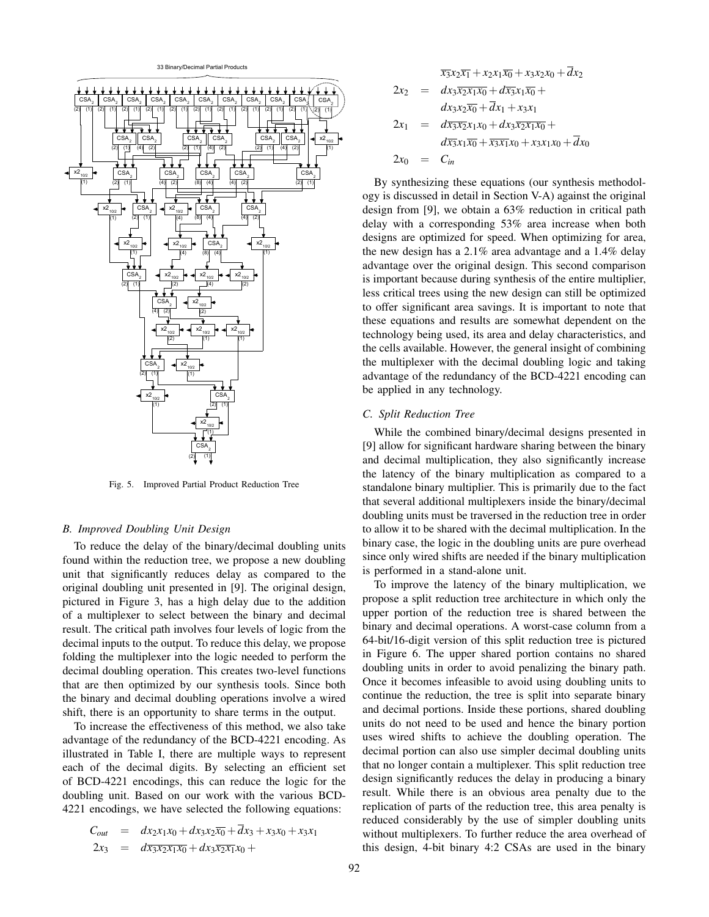

Fig. 5. Improved Partial Product Reduction Tree

#### *B. Improved Doubling Unit Design*

To reduce the delay of the binary/decimal doubling units found within the reduction tree, we propose a new doubling unit that significantly reduces delay as compared to the original doubling unit presented in [9]. The original design, pictured in Figure 3, has a high delay due to the addition of a multiplexer to select between the binary and decimal result. The critical path involves four levels of logic from the decimal inputs to the output. To reduce this delay, we propose folding the multiplexer into the logic needed to perform the decimal doubling operation. This creates two-level functions that are then optimized by our synthesis tools. Since both the binary and decimal doubling operations involve a wired shift, there is an opportunity to share terms in the output.

To increase the effectiveness of this method, we also take advantage of the redundancy of the BCD-4221 encoding. As illustrated in Table I, there are multiple ways to represent each of the decimal digits. By selecting an efficient set of BCD-4221 encodings, this can reduce the logic for the doubling unit. Based on our work with the various BCD-4221 encodings, we have selected the following equations:

$$
C_{out} = dx_2x_1x_0 + dx_3x_2\overline{x_0} + \overline{d}x_3 + x_3x_0 + x_3x_1
$$
  
\n
$$
2x_3 = d\overline{x_3x_2x_1x_0} + dx_3\overline{x_2x_1x_0} +
$$

$$
\overline{x_3}x_2\overline{x_1} + x_2x_1\overline{x_0} + x_3x_2x_0 + \overline{d}x_2
$$
  
\n
$$
2x_2 = dx_3\overline{x_2x_1x_0} + d\overline{x_3}x_1\overline{x_0} + dx_3x_2\overline{x_0} + \overline{d}x_1 + x_3x_1
$$
  
\n
$$
2x_1 = d\overline{x_3x_2}x_1x_0 + dx_3\overline{x_2x_1x_0} + dx_3\overline{x_2x_1x_0} + dx_0
$$
  
\n
$$
2x_0 = C_{in}
$$

By synthesizing these equations (our synthesis methodology is discussed in detail in Section V-A) against the original design from [9], we obtain a 63% reduction in critical path delay with a corresponding 53% area increase when both designs are optimized for speed. When optimizing for area, the new design has a 2.1% area advantage and a 1.4% delay advantage over the original design. This second comparison is important because during synthesis of the entire multiplier, less critical trees using the new design can still be optimized to offer significant area savings. It is important to note that these equations and results are somewhat dependent on the technology being used, its area and delay characteristics, and the cells available. However, the general insight of combining the multiplexer with the decimal doubling logic and taking advantage of the redundancy of the BCD-4221 encoding can be applied in any technology.

### *C. Split Reduction Tree*

While the combined binary/decimal designs presented in [9] allow for significant hardware sharing between the binary and decimal multiplication, they also significantly increase the latency of the binary multiplication as compared to a standalone binary multiplier. This is primarily due to the fact that several additional multiplexers inside the binary/decimal doubling units must be traversed in the reduction tree in order to allow it to be shared with the decimal multiplication. In the binary case, the logic in the doubling units are pure overhead since only wired shifts are needed if the binary multiplication is performed in a stand-alone unit.

To improve the latency of the binary multiplication, we propose a split reduction tree architecture in which only the upper portion of the reduction tree is shared between the binary and decimal operations. A worst-case column from a 64-bit/16-digit version of this split reduction tree is pictured in Figure 6. The upper shared portion contains no shared doubling units in order to avoid penalizing the binary path. Once it becomes infeasible to avoid using doubling units to continue the reduction, the tree is split into separate binary and decimal portions. Inside these portions, shared doubling units do not need to be used and hence the binary portion uses wired shifts to achieve the doubling operation. The decimal portion can also use simpler decimal doubling units that no longer contain a multiplexer. This split reduction tree design significantly reduces the delay in producing a binary result. While there is an obvious area penalty due to the replication of parts of the reduction tree, this area penalty is reduced considerably by the use of simpler doubling units without multiplexers. To further reduce the area overhead of this design, 4-bit binary 4:2 CSAs are used in the binary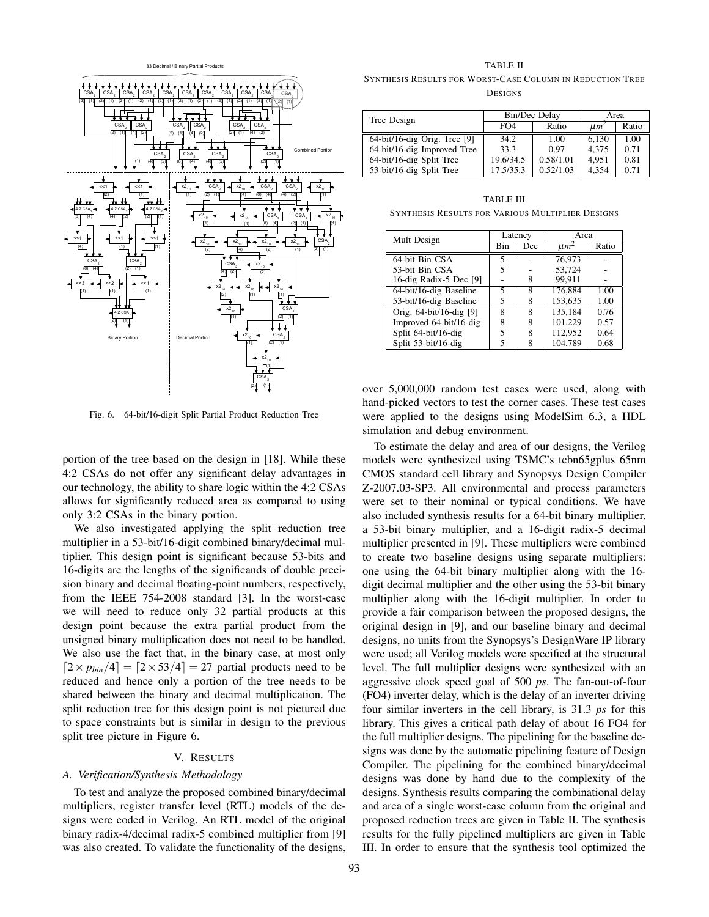

Fig. 6. 64-bit/16-digit Split Partial Product Reduction Tree

portion of the tree based on the design in [18]. While these 4:2 CSAs do not offer any significant delay advantages in our technology, the ability to share logic within the 4:2 CSAs allows for significantly reduced area as compared to using only 3:2 CSAs in the binary portion.

We also investigated applying the split reduction tree multiplier in a 53-bit/16-digit combined binary/decimal multiplier. This design point is significant because 53-bits and 16-digits are the lengths of the significands of double precision binary and decimal floating-point numbers, respectively, from the IEEE 754-2008 standard [3]. In the worst-case we will need to reduce only 32 partial products at this design point because the extra partial product from the unsigned binary multiplication does not need to be handled. We also use the fact that, in the binary case, at most only  $\left[2 \times p_{\text{bin}}/4\right] = \left[2 \times 53/4\right] = 27$  partial products need to be reduced and hence only a portion of the tree needs to be shared between the binary and decimal multiplication. The split reduction tree for this design point is not pictured due to space constraints but is similar in design to the previous split tree picture in Figure 6.

#### V. RESULTS

# *A. Verification/Synthesis Methodology*

To test and analyze the proposed combined binary/decimal multipliers, register transfer level (RTL) models of the designs were coded in Verilog. An RTL model of the original binary radix-4/decimal radix-5 combined multiplier from [9] was also created. To validate the functionality of the designs, TABLE II

SYNTHESIS RESULTS FOR WORST-CASE COLUMN IN REDUCTION TREE **DESIGNS** 

| Tree Design                     |           | Bin/Dec Delay | Area      |       |
|---------------------------------|-----------|---------------|-----------|-------|
|                                 | FO4       | Ratio         | $\mu m^2$ | Ratio |
| $64$ -bit/16-dig Orig. Tree [9] | 34.2      | 1.00          | 6.130     | 1.00  |
| 64-bit/16-dig Improved Tree     | 33.3      | 0.97          | 4.375     | 0.71  |
| 64-bit/16-dig Split Tree        | 19.6/34.5 | 0.58/1.01     | 4.951     | 0.81  |
| 53-bit/16-dig Split Tree        | 17.5/35.3 | 0.52/1.03     | 4.354     | 0.71  |

TABLE III SYNTHESIS RESULTS FOR VARIOUS MULTIPLIER DESIGNS

| Mult Design             | Latency    |     | Area      |       |
|-------------------------|------------|-----|-----------|-------|
|                         | <b>Bin</b> | Dec | $\mu m^2$ | Ratio |
| 64-bit Bin CSA          |            |     | 76.973    |       |
| 53-bit Bin CSA          |            |     | 53.724    |       |
| 16-dig Radix-5 Dec [9]  |            | 8   | 99.911    |       |
| 64-bit/16-dig Baseline  | 5          | 8   | 176.884   | 1.00  |
| 53-bit/16-dig Baseline  | 5          | 8   | 153.635   | 1.00  |
| Orig. 64-bit/16-dig [9] | 8          | 8   | 135.184   | 0.76  |
| Improved 64-bit/16-dig  | 8          |     | 101.229   | 0.57  |
| Split 64-bit/16-dig     |            | 8   | 112.952   | 0.64  |
| Split 53-bit/16-dig     |            |     | 104.789   | 0.68  |

over 5,000,000 random test cases were used, along with hand-picked vectors to test the corner cases. These test cases were applied to the designs using ModelSim 6.3, a HDL simulation and debug environment.

To estimate the delay and area of our designs, the Verilog models were synthesized using TSMC's tcbn65gplus 65nm CMOS standard cell library and Synopsys Design Compiler Z-2007.03-SP3. All environmental and process parameters were set to their nominal or typical conditions. We have also included synthesis results for a 64-bit binary multiplier, a 53-bit binary multiplier, and a 16-digit radix-5 decimal multiplier presented in [9]. These multipliers were combined to create two baseline designs using separate multipliers: one using the 64-bit binary multiplier along with the 16 digit decimal multiplier and the other using the 53-bit binary multiplier along with the 16-digit multiplier. In order to provide a fair comparison between the proposed designs, the original design in [9], and our baseline binary and decimal designs, no units from the Synopsys's DesignWare IP library were used; all Verilog models were specified at the structural level. The full multiplier designs were synthesized with an aggressive clock speed goal of 500 *ps*. The fan-out-of-four (FO4) inverter delay, which is the delay of an inverter driving four similar inverters in the cell library, is 31.3 *ps* for this library. This gives a critical path delay of about 16 FO4 for the full multiplier designs. The pipelining for the baseline designs was done by the automatic pipelining feature of Design Compiler. The pipelining for the combined binary/decimal designs was done by hand due to the complexity of the designs. Synthesis results comparing the combinational delay and area of a single worst-case column from the original and proposed reduction trees are given in Table II. The synthesis results for the fully pipelined multipliers are given in Table III. In order to ensure that the synthesis tool optimized the